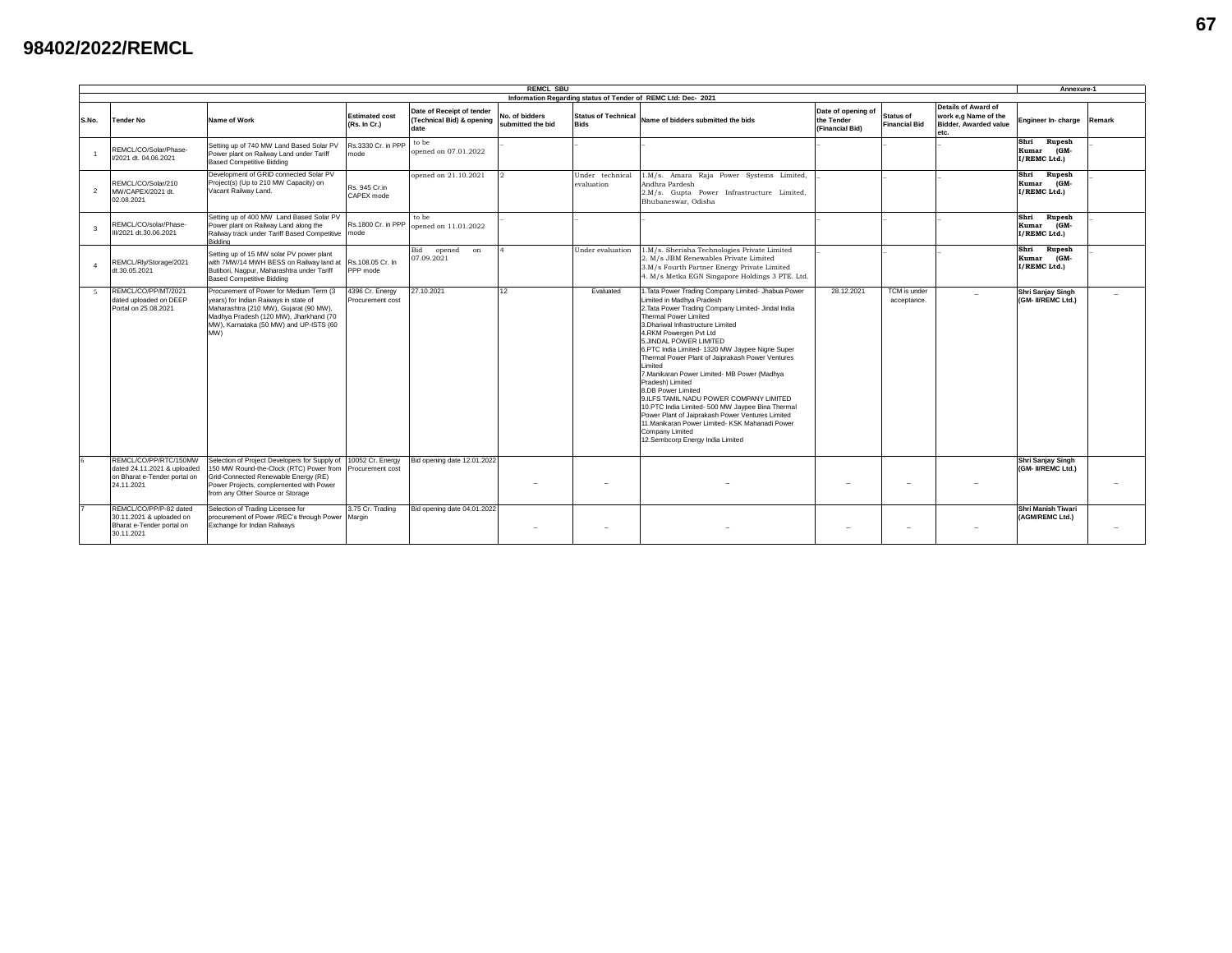## **98402/2022/REMCL**

| <b>REMCL SBU</b>          |                                                                                                    |                                                                                                                                                                                                                       |                                       |                                                                |                                     |                                           |                                                                                                                                                                                                                                                                                                                                                                                                                                                                                                                                                                                                                                                                                                                                     |                                                     |                                          |                                                                              |                                                        | Annexure-1               |  |
|---------------------------|----------------------------------------------------------------------------------------------------|-----------------------------------------------------------------------------------------------------------------------------------------------------------------------------------------------------------------------|---------------------------------------|----------------------------------------------------------------|-------------------------------------|-------------------------------------------|-------------------------------------------------------------------------------------------------------------------------------------------------------------------------------------------------------------------------------------------------------------------------------------------------------------------------------------------------------------------------------------------------------------------------------------------------------------------------------------------------------------------------------------------------------------------------------------------------------------------------------------------------------------------------------------------------------------------------------------|-----------------------------------------------------|------------------------------------------|------------------------------------------------------------------------------|--------------------------------------------------------|--------------------------|--|
| <b>Tender No</b><br>S.No. |                                                                                                    | Name of Work                                                                                                                                                                                                          | <b>Estimated cost</b><br>(Rs. In Cr.) | Date of Receipt of tender<br>(Technical Bid) & opening<br>date | No. of bidders<br>submitted the bid | <b>Status of Technical</b><br><b>Bids</b> | Information Regarding status of Tender of REMC Ltd: Dec- 2021<br>Name of bidders submitted the bids                                                                                                                                                                                                                                                                                                                                                                                                                                                                                                                                                                                                                                 | Date of opening of<br>the Tender<br>(Financial Bid) | <b>Status of</b><br><b>Financial Bid</b> | Details of Award of<br>work e.g Name of the<br>Bidder, Awarded value<br>etc. | Engineer In-charge                                     | Remark                   |  |
|                           | REMCL/CO/Solar/Phase-<br>V2021 dt. 04.06.2021                                                      | Setting up of 740 MW Land Based Solar PV<br>Power plant on Railway Land under Tariff<br><b>Based Competitive Bidding</b>                                                                                              | Rs.3330 Cr. in PPP<br>mode            | to be<br>opened on 07.01.2022                                  |                                     |                                           |                                                                                                                                                                                                                                                                                                                                                                                                                                                                                                                                                                                                                                                                                                                                     |                                                     |                                          |                                                                              | Shri<br>Rupesh<br>Kumar<br>(GM-<br>I/REMC Ltd.)        |                          |  |
| $\overline{2}$            | REMCL/CO/Solar/210<br>MW/CAPEX/2021 dt.<br>02.08.2021                                              | Development of GRID connected Solar PV<br>Project(s) (Up to 210 MW Capacity) on<br>Vacant Railway Land.                                                                                                               | Rs. 945 Cr.in<br>CAPEX mode           | opened on 21.10.2021                                           | $2^{1}$                             | Under technical<br>evaluation             | 1.M/s. Amara Raja Power Systems Limited,<br>Andhra Pardesh<br>2.M/s. Gupta Power Infrastructure Limited,<br>Bhubaneswar, Odisha                                                                                                                                                                                                                                                                                                                                                                                                                                                                                                                                                                                                     |                                                     |                                          |                                                                              | Shri<br><b>Rupesh</b><br>(GM-<br>Kumar<br>I/REMC Ltd.) |                          |  |
| $\overline{\mathbf{3}}$   | REMCL/CO/solar/Phase-<br>II/2021 dt.30.06.2021                                                     | Setting up of 400 MW Land Based Solar PV<br>Power plant on Railway Land along the<br>Railway track under Tariff Based Competitive mode<br>Biddina                                                                     | Rs.1800 Cr. in PPP                    | to be<br>opened on 11.01.2022                                  |                                     |                                           |                                                                                                                                                                                                                                                                                                                                                                                                                                                                                                                                                                                                                                                                                                                                     |                                                     |                                          |                                                                              | Shri<br>Rupesh<br>Kumar (GM-<br>I/REMC Ltd.)           |                          |  |
| $\overline{4}$            | REMCL/Rly/Storage/2021<br>dt.30.05.2021                                                            | Setting up of 15 MW solar PV power plant<br>with 7MW/14 MWH BESS on Railway land at<br>Butibori, Nagpur, Maharashtra under Tariff<br><b>Based Competitive Bidding</b>                                                 | Rs.108.05 Cr. In<br>PPP mode          | Bid opened<br>on<br>07.09.2021                                 |                                     | Under evaluation                          | 1.M/s. Sherisha Technologies Private Limited<br>2. M/s JBM Renewables Private Limited<br>3.M/s Fourth Partner Energy Private Limited<br>4. M/s Metka EGN Singapore Holdings 3 PTE. Ltd.                                                                                                                                                                                                                                                                                                                                                                                                                                                                                                                                             |                                                     |                                          |                                                                              | Shri<br>Rupesh<br>(GM-<br>Kumar<br>I/REMC Ltd.)        |                          |  |
| $\sim$                    | REMCL/CO/PP/MT/2021<br>dated uploaded on DEEP<br>Portal on 25,08,2021                              | Procurement of Power for Medium Term (3<br>vears) for Indian Raiways in state of<br>Maharashtra (210 MW), Guiarat (90 MW),<br>Madhya Pradesh (120 MW), Jharkhand (70<br>MW), Karnataka (50 MW) and UP-ISTS (60<br>(WM | 4396 Cr. Energy<br>Procurement cost   | 27.10.2021                                                     | 12                                  | Evaluated                                 | 1. Tata Power Trading Company Limited- Jhabua Power<br>Limited in Madhva Pradesh<br>2. Tata Power Trading Company Limited- Jindal India<br>Thermal Power Limited<br>3.Dhariwal Infrastructure Limited<br>4.RKM Powergen Pvt Ltd<br>5.JINDAL POWER LIMITED<br>6.PTC India Limited- 1320 MW Jaypee Nigrie Super<br>Thermal Power Plant of Jaiprakash Power Ventures<br>Limited<br>7. Manikaran Power Limited- MB Power (Madhya<br>Pradesh) Limited<br>8.DB Power Limited<br>9.ILFS TAMIL NADU POWER COMPANY LIMITED<br>10.PTC India Limited- 500 MW Jaypee Bina Thermal<br>Power Plant of Jaiprakash Power Ventures Limited<br>11. Manikaran Power Limited- KSK Mahanadi Power<br>Company Limited<br>12.Sembcorp Energy India Limited | 28.12.2021                                          | TCM is under<br>acceptance.              |                                                                              | <b>Shri Sanjay Singh</b><br>(GM- II/REMC Ltd.)         |                          |  |
|                           | REMCL/CO/PP/RTC/150MW<br>dated 24.11.2021 & uploaded<br>on Bharat e-Tender portal on<br>24.11.2021 | Selection of Project Developers for Supply of<br>150 MW Round-the-Clock (RTC) Power from<br>Grid-Connected Renewable Energy (RE)<br>Power Projects, complemented with Power<br>from any Other Source or Storage       | 10052 Cr. Energy<br>Procurement cost  | Bid opening date 12.01.2022                                    |                                     | $\overline{\phantom{a}}$                  |                                                                                                                                                                                                                                                                                                                                                                                                                                                                                                                                                                                                                                                                                                                                     |                                                     |                                          |                                                                              | Shri Sanjay Singh<br>(GM- II/REMC Ltd.)                | $\overline{\phantom{a}}$ |  |
|                           | REMCL/CO/PP/P-82 dated<br>30.11.2021 & uploaded on<br>Bharat e-Tender portal on<br>30.11.2021      | Selection of Trading Licensee for<br>procurement of Power /REC's through Power Margin<br>Exchange for Indian Railways                                                                                                 | 3.75 Cr. Trading                      | Bid opening date 04.01.2022                                    |                                     | $\sim$                                    |                                                                                                                                                                                                                                                                                                                                                                                                                                                                                                                                                                                                                                                                                                                                     | $\overline{\phantom{a}}$                            | $\overline{\phantom{a}}$                 |                                                                              | Shri Manish Tiwari<br>(AGM/REMC Ltd.)                  | $\overline{\phantom{a}}$ |  |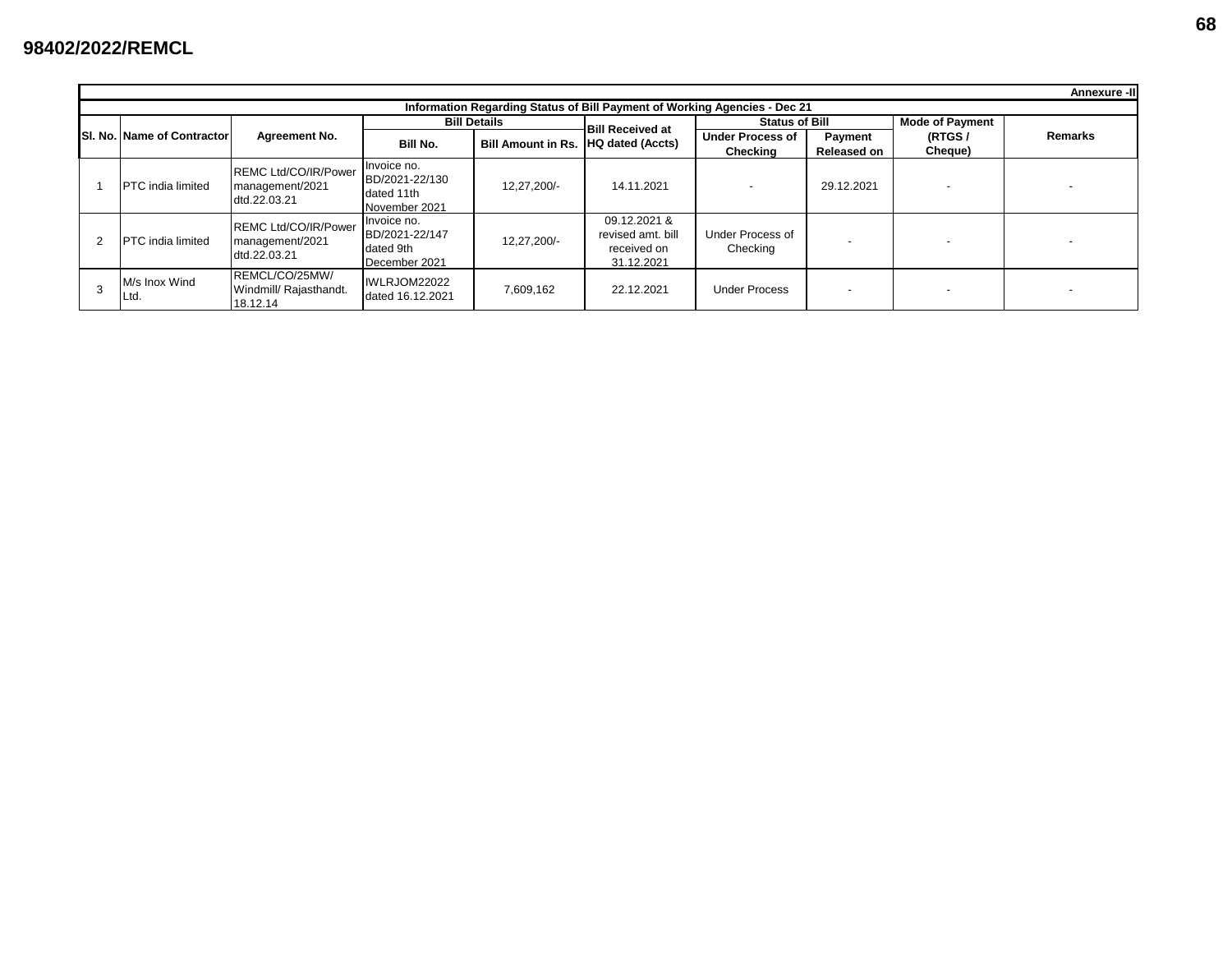|                                                                           | Annexure -III |                                   |                                                                |                                                              |                                     |                                                                |                                     |                               |                        |                |  |  |  |
|---------------------------------------------------------------------------|---------------|-----------------------------------|----------------------------------------------------------------|--------------------------------------------------------------|-------------------------------------|----------------------------------------------------------------|-------------------------------------|-------------------------------|------------------------|----------------|--|--|--|
| Information Regarding Status of Bill Payment of Working Agencies - Dec 21 |               |                                   |                                                                |                                                              |                                     |                                                                |                                     |                               |                        |                |  |  |  |
|                                                                           |               | <b>SI. No. Name of Contractor</b> |                                                                |                                                              | <b>Bill Details</b>                 | <b>Bill Received at</b>                                        | <b>Status of Bill</b>               |                               | <b>Mode of Payment</b> |                |  |  |  |
|                                                                           |               |                                   | <b>Agreement No.</b>                                           | Bill No.                                                     | Bill Amount in Rs. HQ dated (Accts) |                                                                | <b>Under Process of</b><br>Checking | Payment<br><b>Released on</b> | (RTGS/<br>Cheque)      | <b>Remarks</b> |  |  |  |
|                                                                           |               | <b>IPTC</b> india limited         | <b>REMC Ltd/CO/IR/Power</b><br>management/2021<br>dtd.22.03.21 | Invoice no.<br>BD/2021-22/130<br>dated 11th<br>November 2021 | 12,27,200/-                         | 14.11.2021                                                     |                                     | 29.12.2021                    |                        |                |  |  |  |
|                                                                           |               | <b>IPTC</b> india limited         | <b>REMC Ltd/CO/IR/Power</b><br>management/2021<br>dtd.22.03.21 | Invoice no.<br>BD/2021-22/147<br>dated 9th<br>December 2021  | 12,27,200/-                         | 09.12.2021 &<br>revised amt, bill<br>received on<br>31.12.2021 | Under Process of<br>Checking        |                               |                        |                |  |  |  |
|                                                                           |               | M/s Inox Wind<br>ILtd.            | REMCL/CO/25MW/<br>Windmill/ Rajasthandt.<br>18.12.14           | IWLRJOM22022<br>dated 16.12.2021                             | 7,609,162                           | 22.12.2021                                                     | <b>Under Process</b>                | $\overline{\phantom{0}}$      |                        |                |  |  |  |